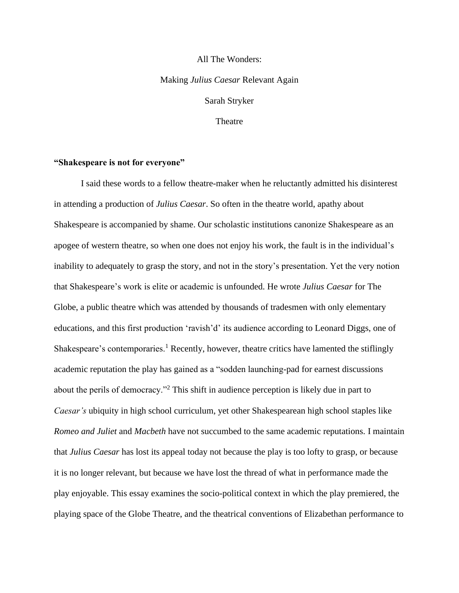# All The Wonders: Making *Julius Caesar* Relevant Again Sarah Stryker **Theatre**

#### **"Shakespeare is not for everyone"**

I said these words to a fellow theatre-maker when he reluctantly admitted his disinterest in attending a production of *Julius Caesar*. So often in the theatre world, apathy about Shakespeare is accompanied by shame. Our scholastic institutions canonize Shakespeare as an apogee of western theatre, so when one does not enjoy his work, the fault is in the individual's inability to adequately to grasp the story, and not in the story's presentation. Yet the very notion that Shakespeare's work is elite or academic is unfounded. He wrote *Julius Caesar* for The Globe, a public theatre which was attended by thousands of tradesmen with only elementary educations, and this first production 'ravish'd' its audience according to Leonard Diggs, one of Shakespeare's contemporaries.<sup>1</sup> Recently, however, theatre critics have lamented the stiflingly academic reputation the play has gained as a "sodden launching-pad for earnest discussions about the perils of democracy."<sup>2</sup> This shift in audience perception is likely due in part to *Caesar's* ubiquity in high school curriculum, yet other Shakespearean high school staples like *Romeo and Juliet* and *Macbeth* have not succumbed to the same academic reputations. I maintain that *Julius Caesar* has lost its appeal today not because the play is too lofty to grasp, or because it is no longer relevant, but because we have lost the thread of what in performance made the play enjoyable. This essay examines the socio-political context in which the play premiered, the playing space of the Globe Theatre, and the theatrical conventions of Elizabethan performance to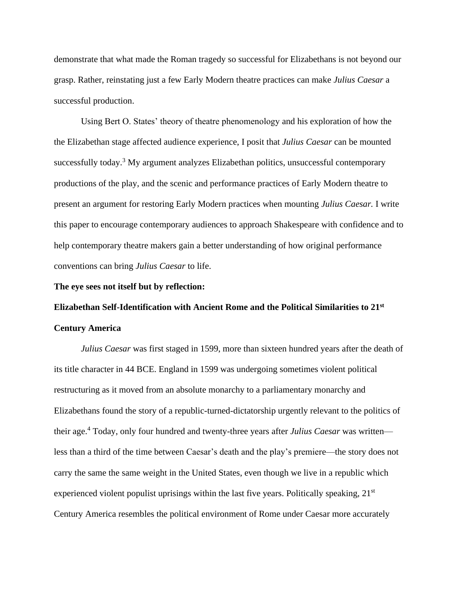demonstrate that what made the Roman tragedy so successful for Elizabethans is not beyond our grasp. Rather, reinstating just a few Early Modern theatre practices can make *Julius Caesar* a successful production.

Using Bert O. States' theory of theatre phenomenology and his exploration of how the the Elizabethan stage affected audience experience, I posit that *Julius Caesar* can be mounted successfully today.<sup>3</sup> My argument analyzes Elizabethan politics, unsuccessful contemporary productions of the play, and the scenic and performance practices of Early Modern theatre to present an argument for restoring Early Modern practices when mounting *Julius Caesar.* I write this paper to encourage contemporary audiences to approach Shakespeare with confidence and to help contemporary theatre makers gain a better understanding of how original performance conventions can bring *Julius Caesar* to life.

#### **The eye sees not itself but by reflection:**

## **Elizabethan Self-Identification with Ancient Rome and the Political Similarities to 21st Century America**

*Julius Caesar* was first staged in 1599, more than sixteen hundred years after the death of its title character in 44 BCE. England in 1599 was undergoing sometimes violent political restructuring as it moved from an absolute monarchy to a parliamentary monarchy and Elizabethans found the story of a republic-turned-dictatorship urgently relevant to the politics of their age. <sup>4</sup> Today, only four hundred and twenty-three years after *Julius Caesar* was written less than a third of the time between Caesar's death and the play's premiere—the story does not carry the same the same weight in the United States, even though we live in a republic which experienced violent populist uprisings within the last five years. Politically speaking,  $21<sup>st</sup>$ Century America resembles the political environment of Rome under Caesar more accurately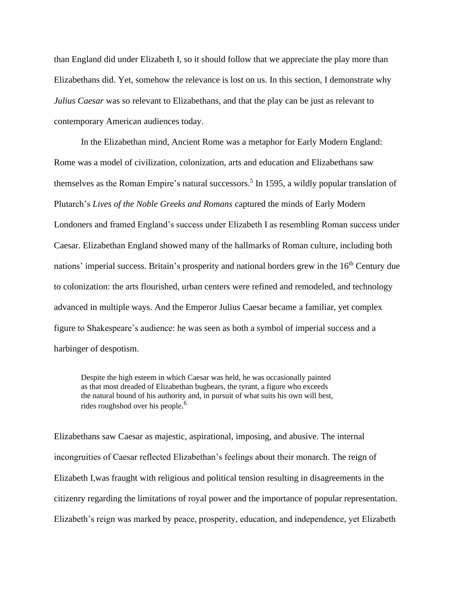than England did under Elizabeth I, so it should follow that we appreciate the play more than Elizabethans did. Yet, somehow the relevance is lost on us. In this section, I demonstrate why *Julius Caesar* was so relevant to Elizabethans, and that the play can be just as relevant to contemporary American audiences today.

In the Elizabethan mind, Ancient Rome was a metaphor for Early Modern England: Rome was a model of civilization, colonization, arts and education and Elizabethans saw themselves as the Roman Empire's natural successors.<sup>5</sup> In 1595, a wildly popular translation of Plutarch's *Lives of the Noble Greeks and Romans* captured the minds of Early Modern Londoners and framed England's success under Elizabeth I as resembling Roman success under Caesar. Elizabethan England showed many of the hallmarks of Roman culture, including both nations' imperial success. Britain's prosperity and national borders grew in the 16<sup>th</sup> Century due to colonization: the arts flourished, urban centers were refined and remodeled, and technology advanced in multiple ways. And the Emperor Julius Caesar became a familiar, yet complex figure to Shakespeare's audience: he was seen as both a symbol of imperial success and a harbinger of despotism.

Despite the high esteem in which Caesar was held, he was occasionally painted as that most dreaded of Elizabethan bugbears, the tyrant, a figure who exceeds the natural bound of his authority and, in pursuit of what suits his own will best, rides roughshod over his people. 6

Elizabethans saw Caesar as majestic, aspirational, imposing, and abusive. The internal incongruities of Caesar reflected Elizabethan's feelings about their monarch. The reign of Elizabeth I,was fraught with religious and political tension resulting in disagreements in the citizenry regarding the limitations of royal power and the importance of popular representation. Elizabeth's reign was marked by peace, prosperity, education, and independence, yet Elizabeth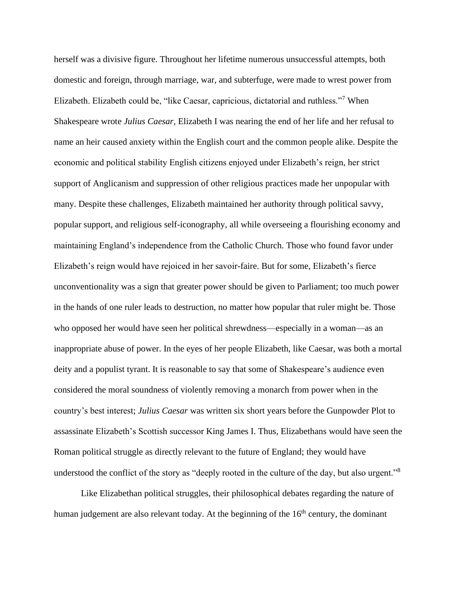herself was a divisive figure. Throughout her lifetime numerous unsuccessful attempts, both domestic and foreign, through marriage, war, and subterfuge, were made to wrest power from Elizabeth. Elizabeth could be, "like Caesar, capricious, dictatorial and ruthless."<sup>7</sup> When Shakespeare wrote *Julius Caesar,* Elizabeth I was nearing the end of her life and her refusal to name an heir caused anxiety within the English court and the common people alike. Despite the economic and political stability English citizens enjoyed under Elizabeth's reign, her strict support of Anglicanism and suppression of other religious practices made her unpopular with many. Despite these challenges, Elizabeth maintained her authority through political savvy, popular support, and religious self-iconography, all while overseeing a flourishing economy and maintaining England's independence from the Catholic Church. Those who found favor under Elizabeth's reign would have rejoiced in her savoir-faire. But for some, Elizabeth's fierce unconventionality was a sign that greater power should be given to Parliament; too much power in the hands of one ruler leads to destruction, no matter how popular that ruler might be. Those who opposed her would have seen her political shrewdness—especially in a woman—as an inappropriate abuse of power. In the eyes of her people Elizabeth, like Caesar, was both a mortal deity and a populist tyrant. It is reasonable to say that some of Shakespeare's audience even considered the moral soundness of violently removing a monarch from power when in the country's best interest; *Julius Caesar* was written six short years before the Gunpowder Plot to assassinate Elizabeth's Scottish successor King James I. Thus, Elizabethans would have seen the Roman political struggle as directly relevant to the future of England; they would have understood the conflict of the story as "deeply rooted in the culture of the day, but also urgent."<sup>8</sup>

Like Elizabethan political struggles, their philosophical debates regarding the nature of human judgement are also relevant today. At the beginning of the 16<sup>th</sup> century, the dominant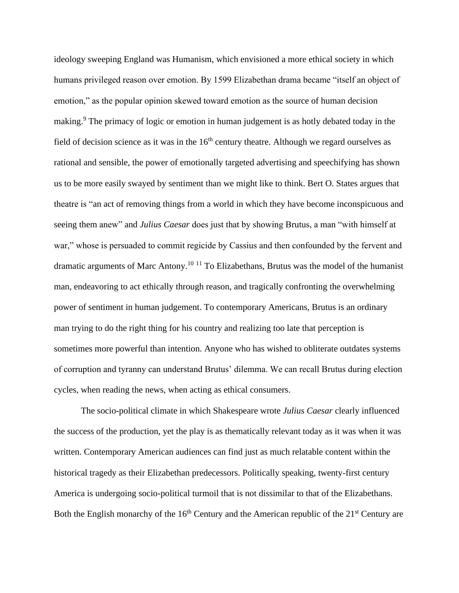ideology sweeping England was Humanism, which envisioned a more ethical society in which humans privileged reason over emotion. By 1599 Elizabethan drama became "itself an object of emotion," as the popular opinion skewed toward emotion as the source of human decision making.<sup>9</sup> The primacy of logic or emotion in human judgement is as hotly debated today in the field of decision science as it was in the  $16<sup>th</sup>$  century theatre. Although we regard ourselves as rational and sensible, the power of emotionally targeted advertising and speechifying has shown us to be more easily swayed by sentiment than we might like to think. Bert O. States argues that theatre is "an act of removing things from a world in which they have become inconspicuous and seeing them anew" and *Julius Caesar* does just that by showing Brutus, a man "with himself at war," whose is persuaded to commit regicide by Cassius and then confounded by the fervent and dramatic arguments of Marc Antony.<sup>10</sup> <sup>11</sup> To Elizabethans, Brutus was the model of the humanist man, endeavoring to act ethically through reason, and tragically confronting the overwhelming power of sentiment in human judgement. To contemporary Americans, Brutus is an ordinary man trying to do the right thing for his country and realizing too late that perception is sometimes more powerful than intention. Anyone who has wished to obliterate outdates systems of corruption and tyranny can understand Brutus' dilemma. We can recall Brutus during election cycles, when reading the news, when acting as ethical consumers.

The socio-political climate in which Shakespeare wrote *Julius Caesar* clearly influenced the success of the production, yet the play is as thematically relevant today as it was when it was written. Contemporary American audiences can find just as much relatable content within the historical tragedy as their Elizabethan predecessors. Politically speaking, twenty-first century America is undergoing socio-political turmoil that is not dissimilar to that of the Elizabethans. Both the English monarchy of the  $16<sup>th</sup>$  Century and the American republic of the  $21<sup>st</sup>$  Century are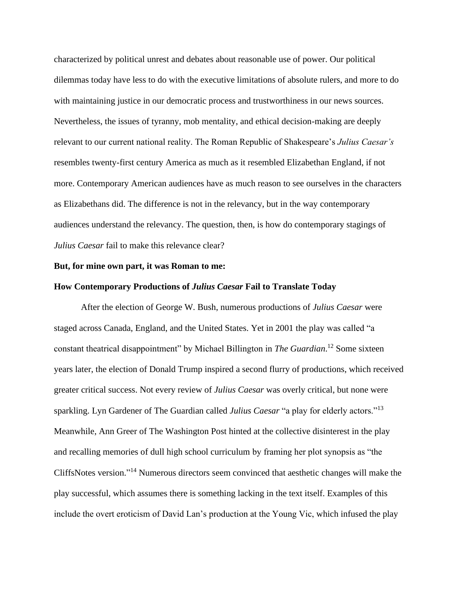characterized by political unrest and debates about reasonable use of power. Our political dilemmas today have less to do with the executive limitations of absolute rulers, and more to do with maintaining justice in our democratic process and trustworthiness in our news sources. Nevertheless, the issues of tyranny, mob mentality, and ethical decision-making are deeply relevant to our current national reality. The Roman Republic of Shakespeare's *Julius Caesar's* resembles twenty-first century America as much as it resembled Elizabethan England, if not more. Contemporary American audiences have as much reason to see ourselves in the characters as Elizabethans did. The difference is not in the relevancy, but in the way contemporary audiences understand the relevancy. The question, then, is how do contemporary stagings of *Julius Caesar* fail to make this relevance clear?

#### **But, for mine own part, it was Roman to me:**

#### **How Contemporary Productions of** *Julius Caesar* **Fail to Translate Today**

After the election of George W. Bush, numerous productions of *Julius Caesar* were staged across Canada, England, and the United States. Yet in 2001 the play was called "a constant theatrical disappointment" by Michael Billington in *The Guardian*. <sup>12</sup> Some sixteen years later, the election of Donald Trump inspired a second flurry of productions, which received greater critical success. Not every review of *Julius Caesar* was overly critical, but none were sparkling. Lyn Gardener of The Guardian called *Julius Caesar* "a play for elderly actors."<sup>13</sup> Meanwhile, Ann Greer of The Washington Post hinted at the collective disinterest in the play and recalling memories of dull high school curriculum by framing her plot synopsis as "the CliffsNotes version." <sup>14</sup> Numerous directors seem convinced that aesthetic changes will make the play successful, which assumes there is something lacking in the text itself. Examples of this include the overt eroticism of David Lan's production at the Young Vic, which infused the play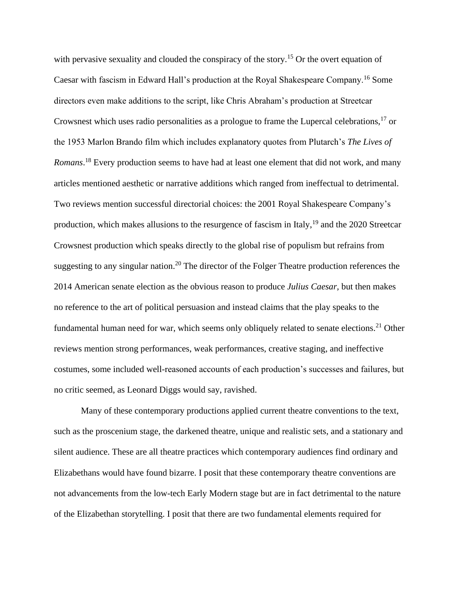with pervasive sexuality and clouded the conspiracy of the story.<sup>15</sup> Or the overt equation of Caesar with fascism in Edward Hall's production at the Royal Shakespeare Company.<sup>16</sup> Some directors even make additions to the script, like Chris Abraham's production at Streetcar Crowsnest which uses radio personalities as a prologue to frame the Lupercal celebrations,<sup>17</sup> or the 1953 Marlon Brando film which includes explanatory quotes from Plutarch's *The Lives of Romans*. <sup>18</sup> Every production seems to have had at least one element that did not work, and many articles mentioned aesthetic or narrative additions which ranged from ineffectual to detrimental. Two reviews mention successful directorial choices: the 2001 Royal Shakespeare Company's production, which makes allusions to the resurgence of fascism in Italy,  $19$  and the 2020 Streetcar Crowsnest production which speaks directly to the global rise of populism but refrains from suggesting to any singular nation.<sup>20</sup> The director of the Folger Theatre production references the 2014 American senate election as the obvious reason to produce *Julius Caesar,* but then makes no reference to the art of political persuasion and instead claims that the play speaks to the fundamental human need for war, which seems only obliquely related to senate elections.<sup>21</sup> Other reviews mention strong performances, weak performances, creative staging, and ineffective costumes, some included well-reasoned accounts of each production's successes and failures, but no critic seemed, as Leonard Diggs would say, ravished.

Many of these contemporary productions applied current theatre conventions to the text, such as the proscenium stage, the darkened theatre, unique and realistic sets, and a stationary and silent audience. These are all theatre practices which contemporary audiences find ordinary and Elizabethans would have found bizarre. I posit that these contemporary theatre conventions are not advancements from the low-tech Early Modern stage but are in fact detrimental to the nature of the Elizabethan storytelling. I posit that there are two fundamental elements required for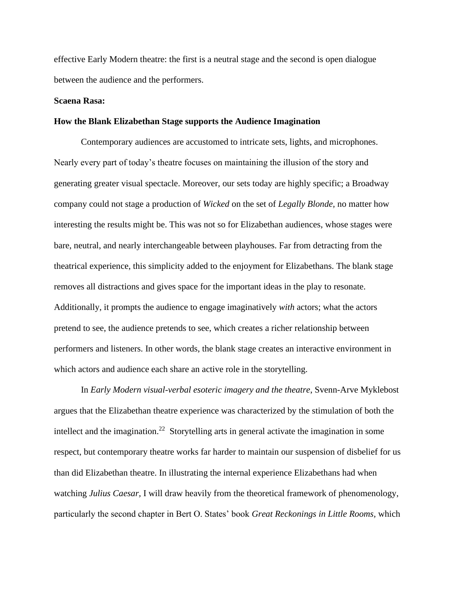effective Early Modern theatre: the first is a neutral stage and the second is open dialogue between the audience and the performers.

#### **Scaena Rasa:**

#### **How the Blank Elizabethan Stage supports the Audience Imagination**

Contemporary audiences are accustomed to intricate sets, lights, and microphones. Nearly every part of today's theatre focuses on maintaining the illusion of the story and generating greater visual spectacle. Moreover, our sets today are highly specific; a Broadway company could not stage a production of *Wicked* on the set of *Legally Blonde,* no matter how interesting the results might be. This was not so for Elizabethan audiences, whose stages were bare, neutral, and nearly interchangeable between playhouses. Far from detracting from the theatrical experience, this simplicity added to the enjoyment for Elizabethans. The blank stage removes all distractions and gives space for the important ideas in the play to resonate. Additionally, it prompts the audience to engage imaginatively *with* actors; what the actors pretend to see, the audience pretends to see, which creates a richer relationship between performers and listeners. In other words, the blank stage creates an interactive environment in which actors and audience each share an active role in the storytelling.

In *Early Modern visual-verbal esoteric imagery and the theatre*, Svenn-Arve Myklebost argues that the Elizabethan theatre experience was characterized by the stimulation of both the intellect and the imagination.<sup>22</sup> Storytelling arts in general activate the imagination in some respect, but contemporary theatre works far harder to maintain our suspension of disbelief for us than did Elizabethan theatre. In illustrating the internal experience Elizabethans had when watching *Julius Caesar,* I will draw heavily from the theoretical framework of phenomenology, particularly the second chapter in Bert O. States' book *Great Reckonings in Little Rooms,* which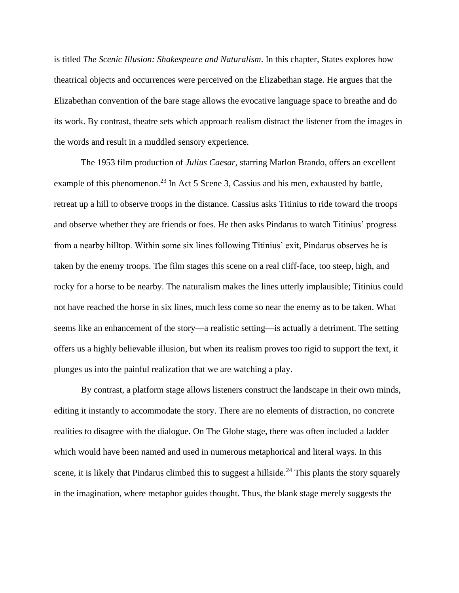is titled *The Scenic Illusion: Shakespeare and Naturalism*. In this chapter, States explores how theatrical objects and occurrences were perceived on the Elizabethan stage. He argues that the Elizabethan convention of the bare stage allows the evocative language space to breathe and do its work. By contrast, theatre sets which approach realism distract the listener from the images in the words and result in a muddled sensory experience.

The 1953 film production of *Julius Caesar,* starring Marlon Brando, offers an excellent example of this phenomenon.<sup>23</sup> In Act 5 Scene 3, Cassius and his men, exhausted by battle, retreat up a hill to observe troops in the distance. Cassius asks Titinius to ride toward the troops and observe whether they are friends or foes. He then asks Pindarus to watch Titinius' progress from a nearby hilltop. Within some six lines following Titinius' exit, Pindarus observes he is taken by the enemy troops. The film stages this scene on a real cliff-face, too steep, high, and rocky for a horse to be nearby. The naturalism makes the lines utterly implausible; Titinius could not have reached the horse in six lines, much less come so near the enemy as to be taken. What seems like an enhancement of the story—a realistic setting—is actually a detriment. The setting offers us a highly believable illusion, but when its realism proves too rigid to support the text, it plunges us into the painful realization that we are watching a play.

By contrast, a platform stage allows listeners construct the landscape in their own minds, editing it instantly to accommodate the story. There are no elements of distraction, no concrete realities to disagree with the dialogue. On The Globe stage, there was often included a ladder which would have been named and used in numerous metaphorical and literal ways. In this scene, it is likely that Pindarus climbed this to suggest a hillside.<sup>24</sup> This plants the story squarely in the imagination, where metaphor guides thought. Thus, the blank stage merely suggests the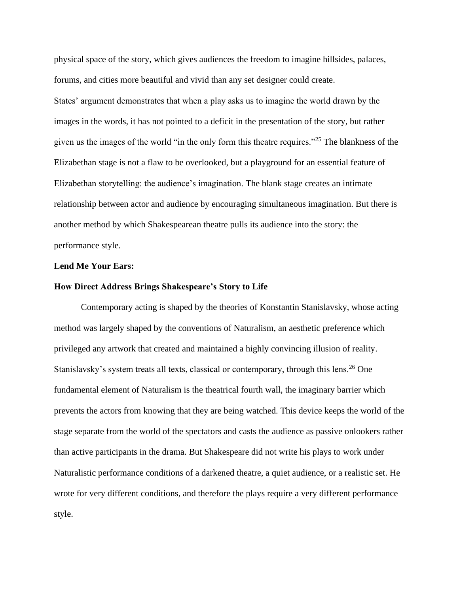physical space of the story, which gives audiences the freedom to imagine hillsides, palaces, forums, and cities more beautiful and vivid than any set designer could create.

States' argument demonstrates that when a play asks us to imagine the world drawn by the images in the words, it has not pointed to a deficit in the presentation of the story, but rather given us the images of the world "in the only form this theatre requires."<sup>25</sup> The blankness of the Elizabethan stage is not a flaw to be overlooked, but a playground for an essential feature of Elizabethan storytelling: the audience's imagination. The blank stage creates an intimate relationship between actor and audience by encouraging simultaneous imagination. But there is another method by which Shakespearean theatre pulls its audience into the story: the performance style.

#### **Lend Me Your Ears:**

#### **How Direct Address Brings Shakespeare's Story to Life**

Contemporary acting is shaped by the theories of Konstantin Stanislavsky, whose acting method was largely shaped by the conventions of Naturalism, an aesthetic preference which privileged any artwork that created and maintained a highly convincing illusion of reality. Stanislavsky's system treats all texts, classical or contemporary, through this lens.<sup>26</sup> One fundamental element of Naturalism is the theatrical fourth wall, the imaginary barrier which prevents the actors from knowing that they are being watched. This device keeps the world of the stage separate from the world of the spectators and casts the audience as passive onlookers rather than active participants in the drama. But Shakespeare did not write his plays to work under Naturalistic performance conditions of a darkened theatre, a quiet audience, or a realistic set. He wrote for very different conditions, and therefore the plays require a very different performance style.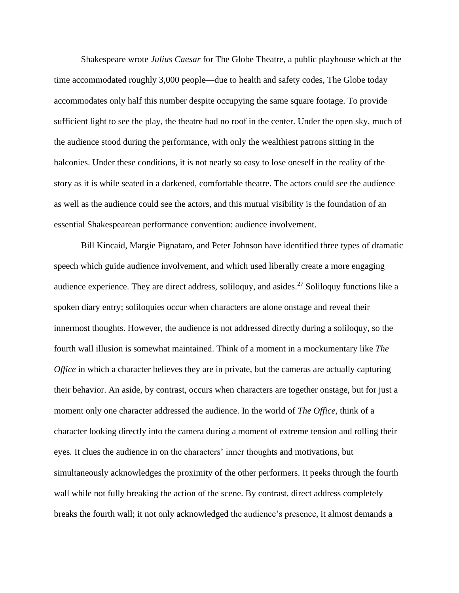Shakespeare wrote *Julius Caesar* for The Globe Theatre, a public playhouse which at the time accommodated roughly 3,000 people—due to health and safety codes, The Globe today accommodates only half this number despite occupying the same square footage. To provide sufficient light to see the play, the theatre had no roof in the center. Under the open sky, much of the audience stood during the performance, with only the wealthiest patrons sitting in the balconies. Under these conditions, it is not nearly so easy to lose oneself in the reality of the story as it is while seated in a darkened, comfortable theatre. The actors could see the audience as well as the audience could see the actors, and this mutual visibility is the foundation of an essential Shakespearean performance convention: audience involvement.

Bill Kincaid, Margie Pignataro, and Peter Johnson have identified three types of dramatic speech which guide audience involvement, and which used liberally create a more engaging audience experience. They are direct address, soliloquy, and asides.<sup>27</sup> Soliloquy functions like a spoken diary entry; soliloquies occur when characters are alone onstage and reveal their innermost thoughts. However, the audience is not addressed directly during a soliloquy, so the fourth wall illusion is somewhat maintained. Think of a moment in a mockumentary like *The Office* in which a character believes they are in private, but the cameras are actually capturing their behavior. An aside, by contrast, occurs when characters are together onstage, but for just a moment only one character addressed the audience. In the world of *The Office,* think of a character looking directly into the camera during a moment of extreme tension and rolling their eyes*.* It clues the audience in on the characters' inner thoughts and motivations, but simultaneously acknowledges the proximity of the other performers. It peeks through the fourth wall while not fully breaking the action of the scene. By contrast, direct address completely breaks the fourth wall; it not only acknowledged the audience's presence, it almost demands a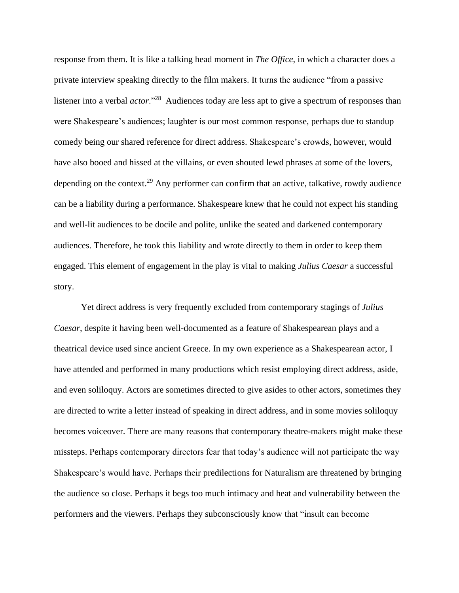response from them. It is like a talking head moment in *The Office*, in which a character does a private interview speaking directly to the film makers. It turns the audience "from a passive listener into a verbal *actor*."<sup>28</sup> Audiences today are less apt to give a spectrum of responses than were Shakespeare's audiences; laughter is our most common response, perhaps due to standup comedy being our shared reference for direct address. Shakespeare's crowds, however, would have also booed and hissed at the villains, or even shouted lewd phrases at some of the lovers, depending on the context.<sup>29</sup> Any performer can confirm that an active, talkative, rowdy audience can be a liability during a performance. Shakespeare knew that he could not expect his standing and well-lit audiences to be docile and polite, unlike the seated and darkened contemporary audiences. Therefore, he took this liability and wrote directly to them in order to keep them engaged. This element of engagement in the play is vital to making *Julius Caesar* a successful story.

Yet direct address is very frequently excluded from contemporary stagings of *Julius Caesar*, despite it having been well-documented as a feature of Shakespearean plays and a theatrical device used since ancient Greece. In my own experience as a Shakespearean actor, I have attended and performed in many productions which resist employing direct address, aside, and even soliloquy. Actors are sometimes directed to give asides to other actors, sometimes they are directed to write a letter instead of speaking in direct address, and in some movies soliloquy becomes voiceover. There are many reasons that contemporary theatre-makers might make these missteps. Perhaps contemporary directors fear that today's audience will not participate the way Shakespeare's would have. Perhaps their predilections for Naturalism are threatened by bringing the audience so close. Perhaps it begs too much intimacy and heat and vulnerability between the performers and the viewers. Perhaps they subconsciously know that "insult can become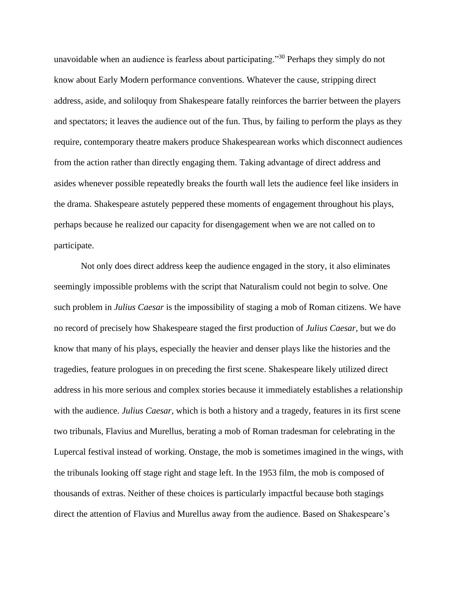unavoidable when an audience is fearless about participating."<sup>30</sup> Perhaps they simply do not know about Early Modern performance conventions. Whatever the cause, stripping direct address, aside, and soliloquy from Shakespeare fatally reinforces the barrier between the players and spectators; it leaves the audience out of the fun. Thus, by failing to perform the plays as they require, contemporary theatre makers produce Shakespearean works which disconnect audiences from the action rather than directly engaging them. Taking advantage of direct address and asides whenever possible repeatedly breaks the fourth wall lets the audience feel like insiders in the drama. Shakespeare astutely peppered these moments of engagement throughout his plays, perhaps because he realized our capacity for disengagement when we are not called on to participate.

Not only does direct address keep the audience engaged in the story, it also eliminates seemingly impossible problems with the script that Naturalism could not begin to solve. One such problem in *Julius Caesar* is the impossibility of staging a mob of Roman citizens. We have no record of precisely how Shakespeare staged the first production of *Julius Caesar*, but we do know that many of his plays, especially the heavier and denser plays like the histories and the tragedies, feature prologues in on preceding the first scene. Shakespeare likely utilized direct address in his more serious and complex stories because it immediately establishes a relationship with the audience. *Julius Caesar,* which is both a history and a tragedy, features in its first scene two tribunals, Flavius and Murellus, berating a mob of Roman tradesman for celebrating in the Lupercal festival instead of working. Onstage, the mob is sometimes imagined in the wings, with the tribunals looking off stage right and stage left. In the 1953 film, the mob is composed of thousands of extras. Neither of these choices is particularly impactful because both stagings direct the attention of Flavius and Murellus away from the audience. Based on Shakespeare's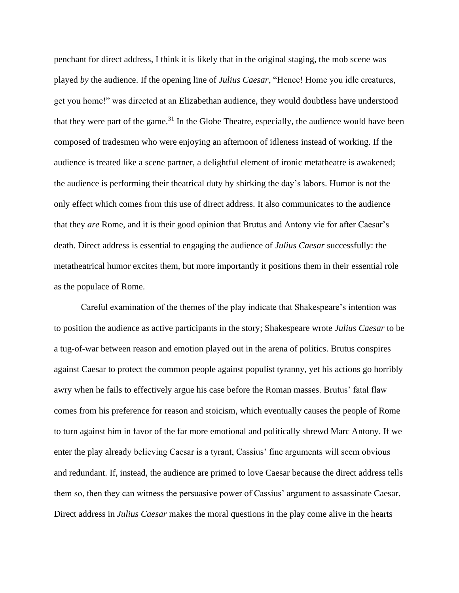penchant for direct address, I think it is likely that in the original staging, the mob scene was played *by* the audience. If the opening line of *Julius Caesar*, "Hence! Home you idle creatures, get you home!" was directed at an Elizabethan audience, they would doubtless have understood that they were part of the game.<sup>31</sup> In the Globe Theatre, especially, the audience would have been composed of tradesmen who were enjoying an afternoon of idleness instead of working. If the audience is treated like a scene partner, a delightful element of ironic metatheatre is awakened; the audience is performing their theatrical duty by shirking the day's labors. Humor is not the only effect which comes from this use of direct address. It also communicates to the audience that they *are* Rome, and it is their good opinion that Brutus and Antony vie for after Caesar's death. Direct address is essential to engaging the audience of *Julius Caesar* successfully: the metatheatrical humor excites them, but more importantly it positions them in their essential role as the populace of Rome.

Careful examination of the themes of the play indicate that Shakespeare's intention was to position the audience as active participants in the story; Shakespeare wrote *Julius Caesar* to be a tug-of-war between reason and emotion played out in the arena of politics. Brutus conspires against Caesar to protect the common people against populist tyranny, yet his actions go horribly awry when he fails to effectively argue his case before the Roman masses. Brutus' fatal flaw comes from his preference for reason and stoicism, which eventually causes the people of Rome to turn against him in favor of the far more emotional and politically shrewd Marc Antony. If we enter the play already believing Caesar is a tyrant, Cassius' fine arguments will seem obvious and redundant. If, instead, the audience are primed to love Caesar because the direct address tells them so, then they can witness the persuasive power of Cassius' argument to assassinate Caesar. Direct address in *Julius Caesar* makes the moral questions in the play come alive in the hearts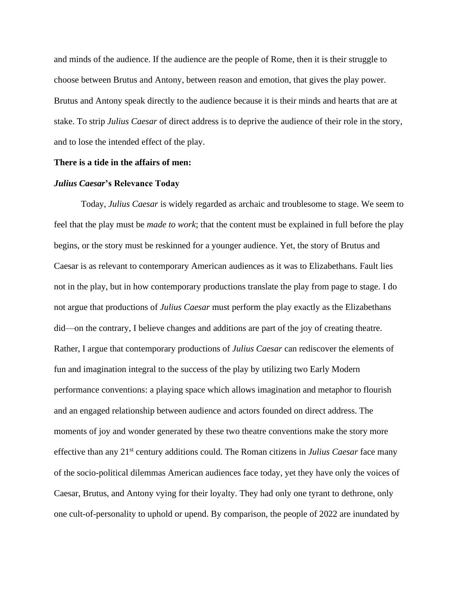and minds of the audience. If the audience are the people of Rome, then it is their struggle to choose between Brutus and Antony, between reason and emotion, that gives the play power. Brutus and Antony speak directly to the audience because it is their minds and hearts that are at stake. To strip *Julius Caesar* of direct address is to deprive the audience of their role in the story, and to lose the intended effect of the play.

#### **There is a tide in the affairs of men:**

#### *Julius Caesar***'s Relevance Today**

Today, *Julius Caesar* is widely regarded as archaic and troublesome to stage. We seem to feel that the play must be *made to work*; that the content must be explained in full before the play begins, or the story must be reskinned for a younger audience. Yet, the story of Brutus and Caesar is as relevant to contemporary American audiences as it was to Elizabethans. Fault lies not in the play, but in how contemporary productions translate the play from page to stage. I do not argue that productions of *Julius Caesar* must perform the play exactly as the Elizabethans did—on the contrary, I believe changes and additions are part of the joy of creating theatre. Rather, I argue that contemporary productions of *Julius Caesar* can rediscover the elements of fun and imagination integral to the success of the play by utilizing two Early Modern performance conventions: a playing space which allows imagination and metaphor to flourish and an engaged relationship between audience and actors founded on direct address. The moments of joy and wonder generated by these two theatre conventions make the story more effective than any 21st century additions could. The Roman citizens in *Julius Caesar* face many of the socio-political dilemmas American audiences face today, yet they have only the voices of Caesar, Brutus, and Antony vying for their loyalty. They had only one tyrant to dethrone, only one cult-of-personality to uphold or upend. By comparison, the people of 2022 are inundated by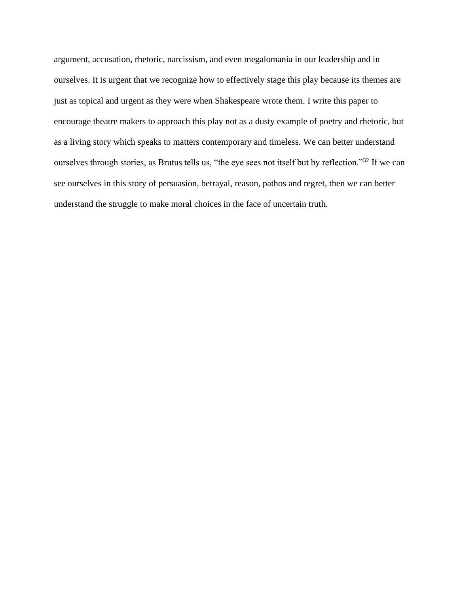argument, accusation, rhetoric, narcissism, and even megalomania in our leadership and in ourselves. It is urgent that we recognize how to effectively stage this play because its themes are just as topical and urgent as they were when Shakespeare wrote them. I write this paper to encourage theatre makers to approach this play not as a dusty example of poetry and rhetoric, but as a living story which speaks to matters contemporary and timeless. We can better understand ourselves through stories, as Brutus tells us, "the eye sees not itself but by reflection."<sup>32</sup> If we can see ourselves in this story of persuasion, betrayal, reason, pathos and regret, then we can better understand the struggle to make moral choices in the face of uncertain truth.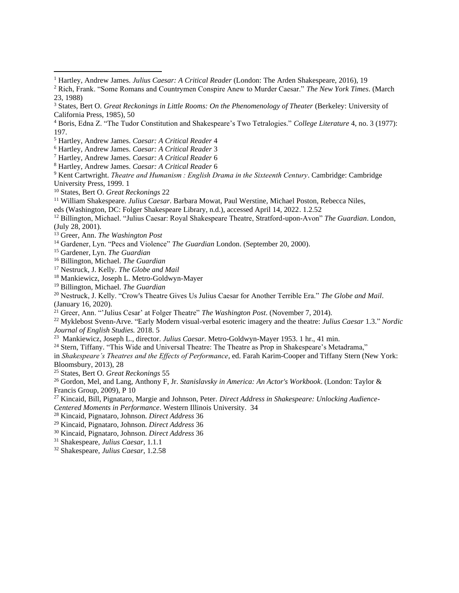Hartley, Andrew James. *Caesar: A Critical Reader* 4

- Hartley, Andrew James. *Caesar: A Critical Reader* 6
- Hartley, Andrew James. *Caesar: A Critical Reader* 6
- Kent Cartwright. *Theatre and Humanism : English Drama in the Sixteenth Century*. Cambridge: Cambridge University Press, 1999. 1
- States, Bert O. *Great Reckonings* 22

eds (Washington, DC: Folger Shakespeare Library, n.d.), accessed April 14, 2022. 1.2.52

 Billington, Michael. "Julius Caesar: Royal Shakespeare Theatre, Stratford-upon-Avon" *The Guardian*. London, (July 28, 2001).

- Gardener, Lyn. "Pecs and Violence" *The Guardian* London. (September 20, 2000).
- Gardener, Lyn. *The Guardian*
- Billington, Michael. *The Guardian*
- Nestruck, J. Kelly. *The Globe and Mail*
- Mankiewicz, Joseph L. Metro-Goldwyn-Mayer
- Billington, Michael. *The Guardian*

 Nestruck, J. Kelly. "Crow's Theatre Gives Us Julius Caesar for Another Terrible Era." *The Globe and Mail*. (January 16, 2020).

Greer, Ann. "'Julius Cesar' at Folger Theatre" *The Washington Post*. (November 7, 2014).

 Myklebost Svenn-Arve. "Early Modern visual-verbal esoteric imagery and the theatre: *Julius Caesar* 1.3." *Nordic Journal of English Studies.* 2018. 5

Mankiewicz, Joseph L., director. *Julius Caesar*. Metro-Goldwyn-Mayer 1953. 1 hr., 41 min.

<sup>24</sup> Stern, Tiffany. "This Wide and Universal Theatre: The Theatre as Prop in Shakespeare's Metadrama,"

in *Shakespeare's Theatres and the Effects of Performance*, ed. Farah Karim-Cooper and Tiffany Stern (New York: Bloomsbury, 2013), 28

States, Bert O. *Great Reckonings* 55

 Gordon, Mel, and Lang, Anthony F, Jr. *Stanislavsky in America: An Actor's Workbook*. (London: Taylor & Francis Group, 2009), P 10

 Kincaid, Bill, Pignataro, Margie and Johnson, Peter. *Direct Address in Shakespeare: Unlocking Audience-Centered Moments in Performance*. Western Illinois University. 34

- Kincaid, Pignataro, Johnson. *Direct Address* 36
- Kincaid, Pignataro, Johnson. *Direct Address* 36
- Kincaid, Pignataro, Johnson. *Direct Address* 36

Shakespeare, *Julius Caesar*, 1.1.1

Shakespeare, *Julius Caesar*, 1.2.58

Hartley, Andrew James. *Julius Caesar: A Critical Reader* (London: The Arden Shakespeare, 2016), 19

 Rich, Frank. "Some Romans and Countrymen Conspire Anew to Murder Caesar." *The New York Times*. (March 23, 1988)

 States, Bert O. *Great Reckonings in Little Rooms: On the Phenomenology of Theater* (Berkeley: University of California Press, 1985), 50

 Boris, Edna Z. "The Tudor Constitution and Shakespeare's Two Tetralogies." *College Literature* 4, no. 3 (1977): 197.

Hartley, Andrew James. *Caesar: A Critical Reader* 3

William Shakespeare. *Julius Caesar*. Barbara Mowat, Paul Werstine, Michael Poston, Rebecca Niles,

Greer, Ann. *The Washington Post*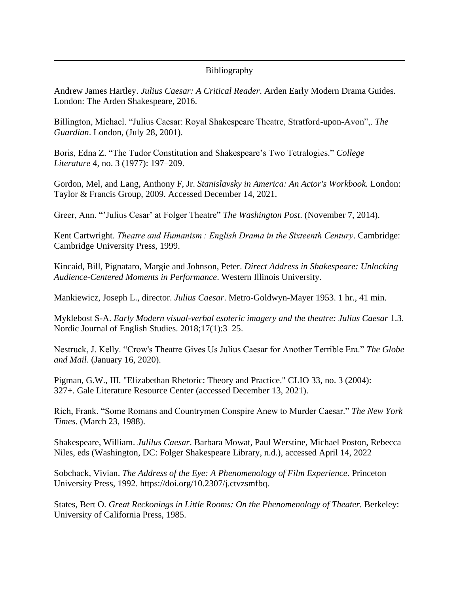### Bibliography

Andrew James Hartley. *Julius Caesar: A Critical Reader*. Arden Early Modern Drama Guides. London: The Arden Shakespeare, 2016.

Billington, Michael. "Julius Caesar: Royal Shakespeare Theatre, Stratford-upon-Avon",. *The Guardian*. London, (July 28, 2001).

Boris, Edna Z. "The Tudor Constitution and Shakespeare's Two Tetralogies." *College Literature* 4, no. 3 (1977): 197–209.

Gordon, Mel, and Lang, Anthony F, Jr. *Stanislavsky in America: An Actor's Workbook.* London: Taylor & Francis Group, 2009. Accessed December 14, 2021.

Greer, Ann. "'Julius Cesar' at Folger Theatre" *The Washington Post*. (November 7, 2014).

Kent Cartwright. *Theatre and Humanism : English Drama in the Sixteenth Century*. Cambridge: Cambridge University Press, 1999.

Kincaid, Bill, Pignataro, Margie and Johnson, Peter. *Direct Address in Shakespeare: Unlocking Audience-Centered Moments in Performance*. Western Illinois University.

Mankiewicz, Joseph L., director. *Julius Caesar*. Metro-Goldwyn-Mayer 1953. 1 hr., 41 min.

Myklebost S-A. *Early Modern visual-verbal esoteric imagery and the theatre: Julius Caesar* 1.3. Nordic Journal of English Studies. 2018;17(1):3–25.

Nestruck, J. Kelly. "Crow's Theatre Gives Us Julius Caesar for Another Terrible Era." *The Globe and Mail*. (January 16, 2020).

Pigman, G.W., III. "Elizabethan Rhetoric: Theory and Practice." CLIO 33, no. 3 (2004): 327+. Gale Literature Resource Center (accessed December 13, 2021).

Rich, Frank. "Some Romans and Countrymen Conspire Anew to Murder Caesar." *The New York Times*. (March 23, 1988).

Shakespeare, William. *Julilus Caesar*. Barbara Mowat, Paul Werstine, Michael Poston, Rebecca Niles, eds (Washington, DC: Folger Shakespeare Library, n.d.), accessed April 14, 2022

Sobchack, Vivian. *The Address of the Eye: A Phenomenology of Film Experience*. Princeton University Press, 1992. https://doi.org/10.2307/j.ctvzsmfbq.

States, Bert O. *Great Reckonings in Little Rooms: On the Phenomenology of Theater.* Berkeley: University of California Press, 1985.